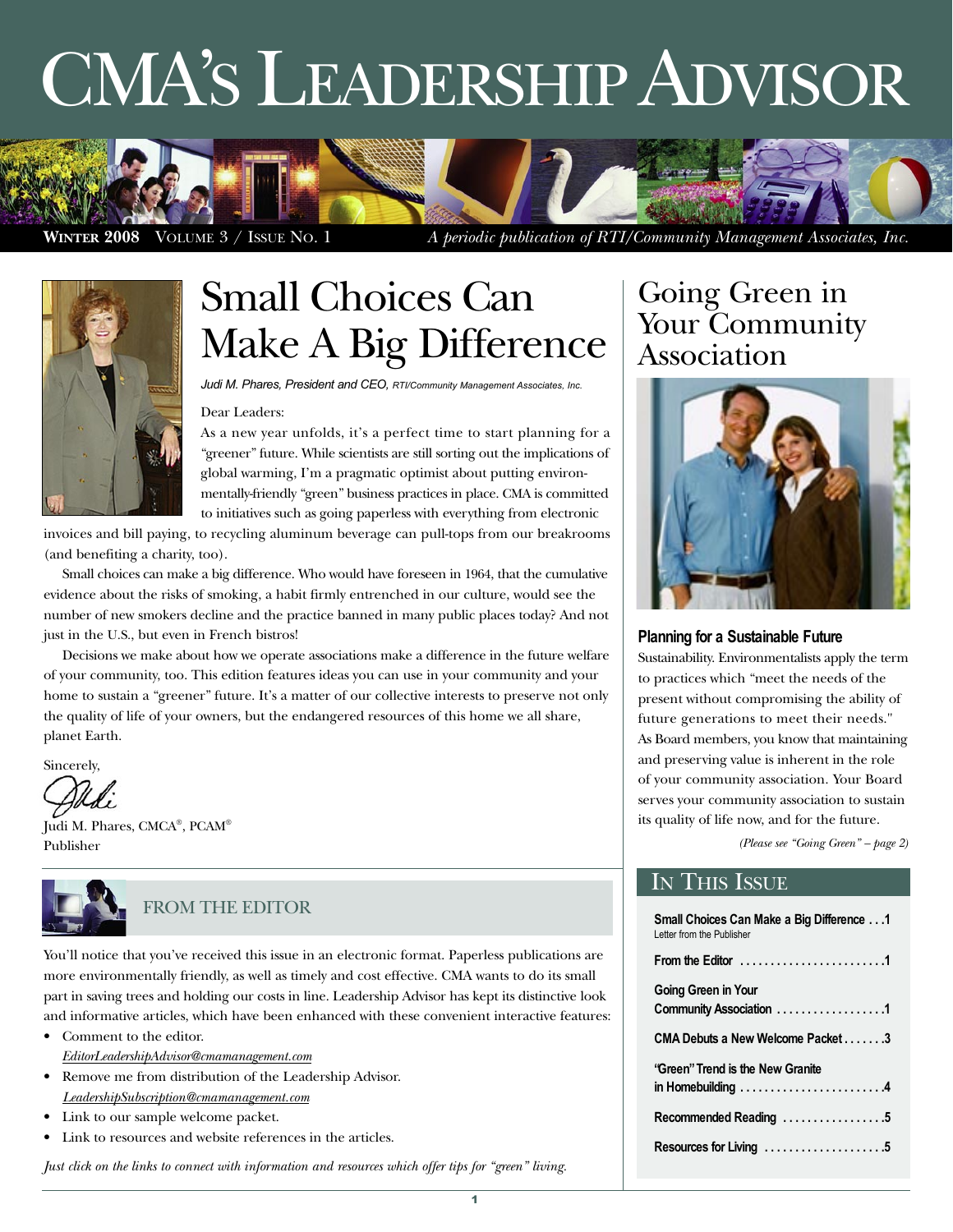# CMA'S LEADERSHIP ADVISOR



**WINTER 2008** VOLUME 3 / ISSUE NO. 1 *A periodic publication of RTI/Community Management Associates, Inc.*



# Small Choices Can Make A Big Difference

Judi M. Phares, President and CEO, RTI/Community Management Associates, Inc.

#### Dear Leaders:

As a new year unfolds, it's a perfect time to start planning for a "greener" future. While scientists are still sorting out the implications of global warming, I'm a pragmatic optimist about putting environmentally-friendly "green" business practices in place. CMA is committed to initiatives such as going paperless with everything from electronic

invoices and bill paying, to recycling aluminum beverage can pull-tops from our breakrooms (and benefiting a charity, too).

Small choices can make a big difference. Who would have foreseen in 1964, that the cumulative evidence about the risks of smoking, a habit firmly entrenched in our culture, would see the number of new smokers decline and the practice banned in many public places today? And not just in the U.S., but even in French bistros!

Decisions we make about how we operate associations make a difference in the future welfare of your community, too. This edition features ideas you can use in your community and your home to sustain a "greener" future. It's a matter of our collective interests to preserve not only the quality of life of your owners, but the endangered resources of this home we all share, planet Earth.

Sincerely,

Judi M. Phares, CMCA® , PCAM® Publisher



#### FROM THE EDITOR

You'll notice that you've received this issue in an electronic format. Paperless publications are more environmentally friendly, as well as timely and cost effective. CMA wants to do its small part in saving trees and holding our costs in line. Leadership Advisor has kept its distinctive look and informative articles, which have been enhanced with these convenient interactive features:

- Comment to the editor. *[EditorLeadershipAdvisor@cmamanagement.com](Mailto:EditorLeadershipAdvisor@cmamanagement.com)*
- Remove me from distribution of the Leadership Advisor. *[LeadershipSubscription@cmamanagement.com](Mailto:LeadershipSubscription@cmamanagement.com)*
- Link to our sample welcome packet.
- Link to resources and website references in the articles.

*Just click on the links to connect with information and resources which offer tips for "green" living.*

### Going Green in Your Community Association



#### **Planning for a Sustainable Future**

Sustainability. Environmentalists apply the term to practices which "meet the needs of the present without compromising the ability of future generations to meet their needs." As Board members, you know that maintaining and preserving value is inherent in the role of your community association. Your Board serves your community association to sustain its quality of life now, and for the future.

*(Please see "Going Green" – page 2)*

#### IN THIS ISSUE

| Small Choices Can Make a Big Difference 1<br>I etter from the Publisher                    |
|--------------------------------------------------------------------------------------------|
| From the Editor $\ldots \ldots \ldots \ldots \ldots \ldots$                                |
| <b>Going Green in Your</b><br>Community Association 1                                      |
| CMA Debuts a New Welcome Packet3                                                           |
| 'Green'' Trend is the New Granite<br>in Homebuilding $\dots\dots\dots\dots\dots\dots\dots$ |
| Recommended Reading 5                                                                      |
| Resources for Living 5                                                                     |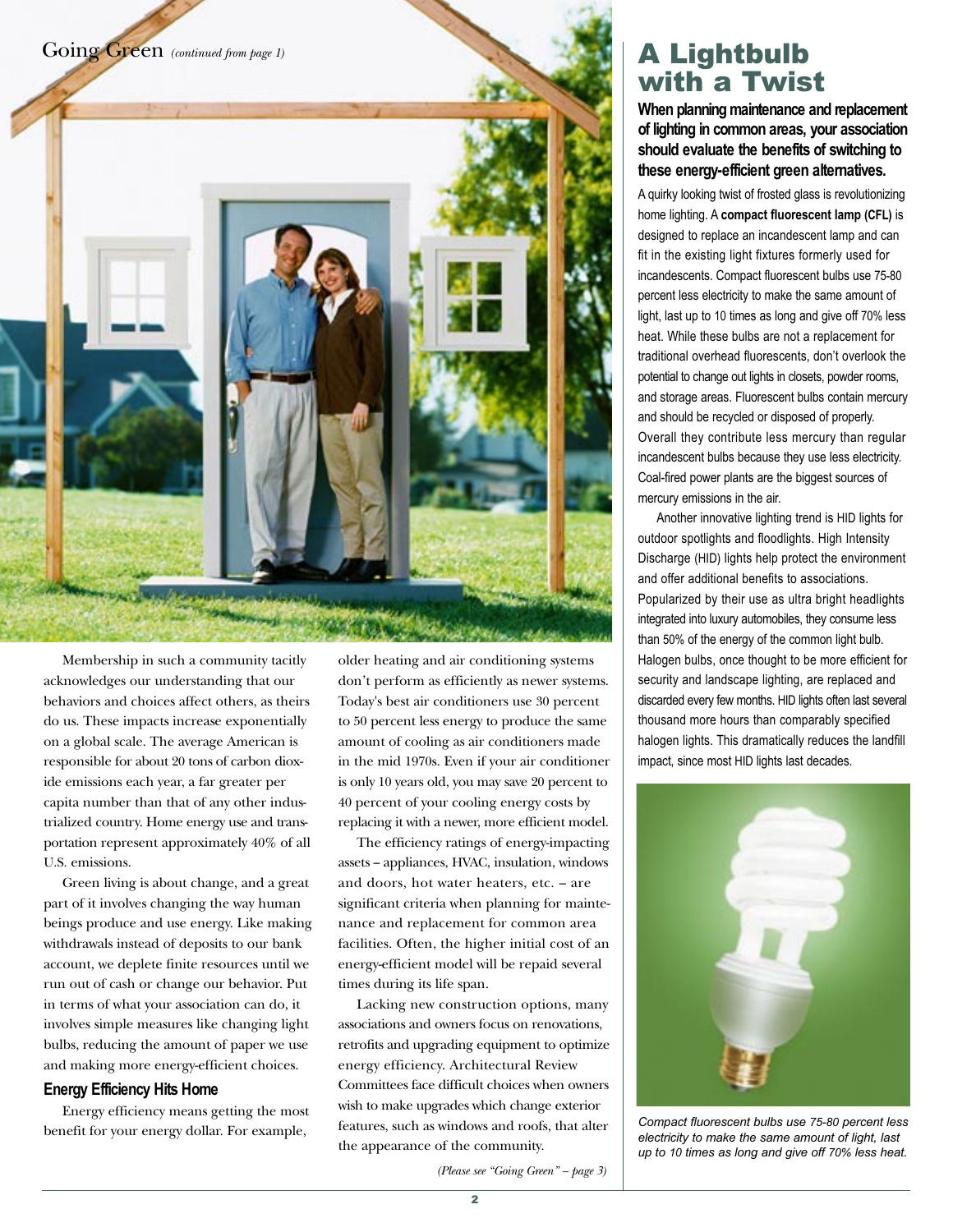

Membership in such a community tacitly acknowledges our understanding that our behaviors and choices affect others, as theirs do us. These impacts increase exponentially on a global scale. The average American is responsible for about 20 tons of carbon dioxide emissions each year, a far greater per capita number than that of any other industrialized country. Home energy use and transportation represent approximately 40% of all U.S. emissions.

Green living is about change, and a great part of it involves changing the way human beings produce and use energy. Like making withdrawals instead of deposits to our bank account, we deplete finite resources until we run out of cash or change our behavior. Put in terms of what your association can do, it involves simple measures like changing light bulbs, reducing the amount of paper we use and making more energy-efficient choices.

#### **Energy Efficiency Hits Home**

Energy efficiency means getting the most benefit for your energy dollar. For example,

older heating and air conditioning systems don't perform as efficiently as newer systems. Today's best air conditioners use 30 percent to 50 percent less energy to produce the same amount of cooling as air conditioners made in the mid 1970s. Even if your air conditioner is only 10 years old, you may save 20 percent to 40 percent of your cooling energy costs by replacing it with a newer, more efficient model.

The efficiency ratings of energy-impacting assets -- appliances, HVAC, insulation, windows and doors, hot water heaters, etc. – are significant criteria when planning for maintenance and replacement for common area facilities. Often, the higher initial cost of an energy-efficient model will be repaid several times during its life span.

Lacking new construction options, many associations and owners focus on renovations, retrofits and upgrading equipment to optimize energy efficiency. Architectural Review Committees face difficult choices when owners wish to make upgrades which change exterior features, such as windows and roofs, that alter the appearance of the community.

*(Please see "Going Green" – page 3)*

# **A Lightbulb<br>with a Twist**

When planning maintenance and replacement **of lighting in common areas, your association should evaluate the benefits of switching to these energy-efficient green alternatives.** 

A quirky looking twist of frosted glass is revolutionizing home lighting. A **compact fluorescent lamp (CFL)** is designed to replace an incandescent lamp and can fit in the existing light fixtures formerly used for incandescents. Compact fluorescent bulbs use 75-80 percent less electricity to make the same amount of light, last up to 10 times as long and give off 70% less heat. While these bulbs are not a replacement for traditional overhead fluorescents, don't overlook the potential to change out lights in closets, powder rooms, and storage areas. Fluorescent bulbs contain mercury and should be recycled or disposed of properly. Overall they contribute less mercury than regular incandescent bulbs because they use less electricity. Coal-fired power plants are the biggest sources of mercury emissions in the air.

Another innovative lighting trend is HID lights for outdoor spotlights and floodlights. High Intensity Discharge (HID) lights help protect the environment and offer additional benefits to associations. Popularized by their use as ultra bright headlights integrated into luxury automobiles, they consume less than 50% of the energy of the common light bulb. Halogen bulbs, once thought to be more efficient for security and landscape lighting, are replaced and discarded every few months. HID lights often last several thousand more hours than comparably specified halogen lights. This dramatically reduces the landfill impact, since most HID lights last decades.



Compact fluorescent bulbs use 75-80 percent less electricity to make the same amount of light, last up to 10 times as long and give off 70% less heat.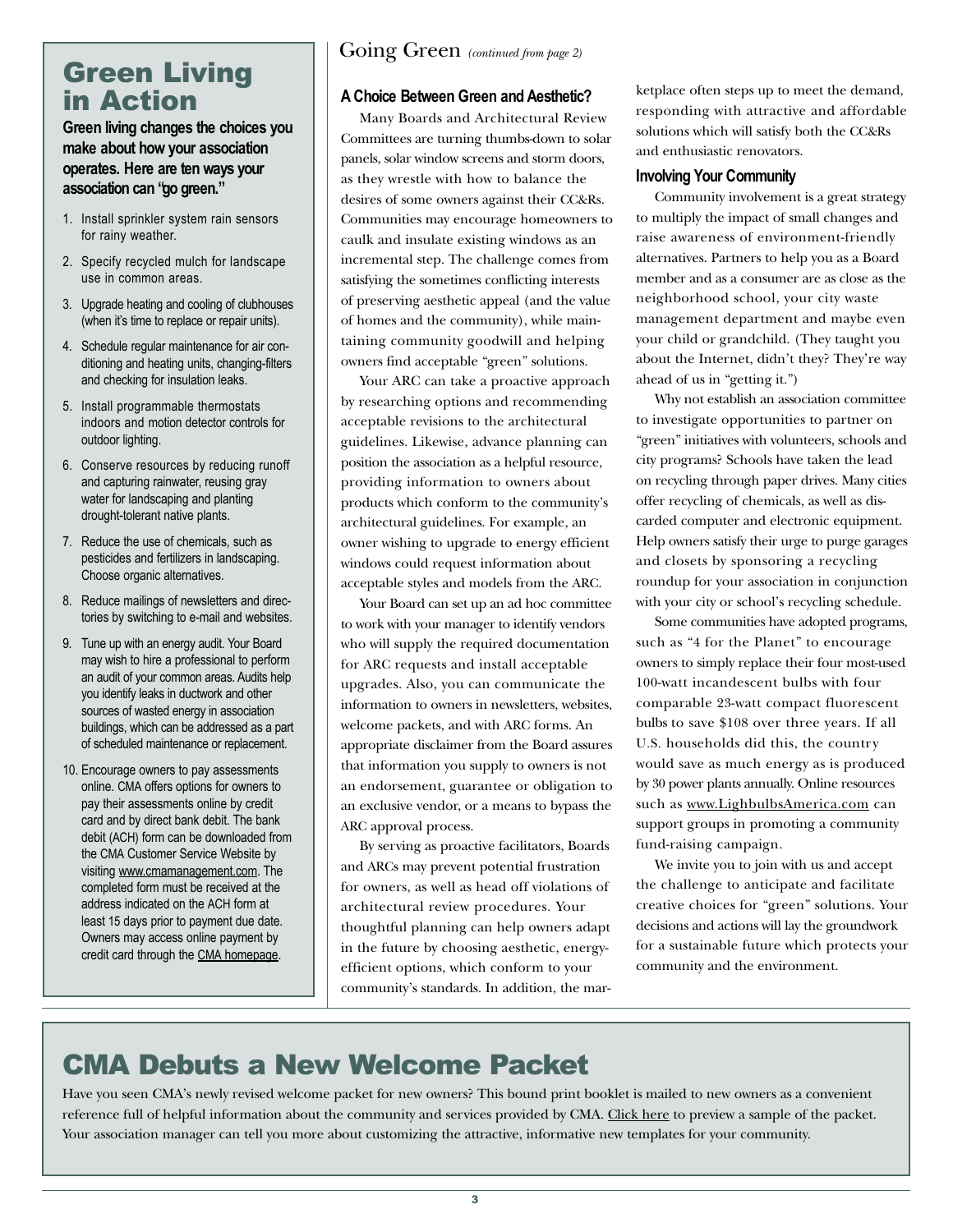# **Green Living<br>in Action**

#### **Green living changes the choices you make about how your association operates. Here are ten ways your association can "go green."**

- 1. Install sprinkler system rain sensors for rainy weather.
- 2. Specify recycled mulch for landscape use in common areas.
- 3. Upgrade heating and cooling of clubhouses (when it's time to replace or repair units).
- 4. Schedule regular maintenance for air conditioning and heating units, changing-filters and checking for insulation leaks.
- 5. Install programmable thermostats indoors and motion detector controls for outdoor lighting.
- 6. Conserve resources by reducing runoff and capturing rainwater, reusing gray water for landscaping and planting drought-tolerant native plants.
- 7. Reduce the use of chemicals, such as pesticides and fertilizers in landscaping. Choose organic alternatives.
- 8. Reduce mailings of newsletters and directories by switching to e-mail and websites.
- 9. Tune up with an energy audit. Your Board may wish to hire a professional to perform an audit of your common areas. Audits help you identify leaks in ductwork and other sources of wasted energy in association buildings, which can be addressed as a part of scheduled maintenance or replacement.
- 10. Encourage owners to pay assessments online. CMA offers options for owners to pay their assessments online by credit card and by direct bank debit. The bank debit (ACH) form can be downloaded from the CMA Customer Service Website by visiting [www.cmamanagement.com.](http://www.cmacustomerservice.com/) The completed form must be received at the address indicated on the ACH form at least 15 days prior to payment due date. Owners may access online payment by credit card through the [CMA homepage.](http://www.cmamanagement.com)

#### **A Choice Between Green and Aesthetic?**

Many Boards and Architectural Review Committees are turning thumbs-down to solar panels, solar window screens and storm doors, as they wrestle with how to balance the desires of some owners against their CC&Rs. Communities may encourage homeowners to caulk and insulate existing windows as an incremental step. The challenge comes from satisfying the sometimes conflicting interests of preserving aesthetic appeal (and the value of homes and the community), while maintaining community goodwill and helping owners find acceptable "green" solutions.

Your ARC can take a proactive approach by researching options and recommending acceptable revisions to the architectural guidelines. Likewise, advance planning can position the association as a helpful resource, providing information to owners about products which conform to the community's architectural guidelines. For example, an owner wishing to upgrade to energy efficient windows could request information about acceptable styles and models from the ARC.

Your Board can set up an ad hoc committee to work with your manager to identify vendors who will supply the required documentation for ARC requests and install acceptable upgrades. Also, you can communicate the information to owners in newsletters, websites, welcome packets, and with ARC forms. An appropriate disclaimer from the Board assures that information you supply to owners is not an endorsement, guarantee or obligation to an exclusive vendor, or a means to bypass the ARC approval process.

By serving as proactive facilitators, Boards and ARCs may prevent potential frustration for owners, as well as head off violations of architectural review procedures. Your thoughtful planning can help owners adapt in the future by choosing aesthetic, energyefficient options, which conform to your community's standards. In addition, the marketplace often steps up to meet the demand, responding with attractive and affordable solutions which will satisfy both the CC&Rs and enthusiastic renovators.

#### **Involving Your Community**

Community involvement is a great strategy to multiply the impact of small changes and raise awareness of environment-friendly alternatives. Partners to help you as a Board member and as a consumer are as close as the neighborhood school, your city waste management department and maybe even your child or grandchild. (They taught you about the Internet, didn't they? They're way ahead of us in "getting it.")

Why not establish an association committee to investigate opportunities to partner on "green" initiatives with volunteers, schools and city programs? Schools have taken the lead on recycling through paper drives. Many cities offer recycling of chemicals, as well as discarded computer and electronic equipment. Help owners satisfy their urge to purge garages and closets by sponsoring a recycling roundup for your association in conjunction with your city or school's recycling schedule.

Some communities have adopted programs, such as "4 for the Planet" to encourage owners to simply replace their four most-used 100-watt incandescent bulbs with four comparable 23-watt compact fluorescent bulbs to save \$108 over three years. If all U.S. households did this, the country would save as much energy as is produced by 30 power plants annually. Online resources such as [www.LighbulbsAmerica.com](http://www.lightbulbsamerica.com/) can support groups in promoting a community fund-raising campaign.

We invite you to join with us and accept the challenge to anticipate and facilitate creative choices for "green" solutions. Your decisions and actions will lay the groundwork for a sustainable future which protects your community and the environment.

Have you seen CMA's newly revised welcome packet for new owners? This bound print booklet is mailed to new owners as a convenient reference full of helpful information about the community and services provided by CMA. [Click here](http://www.cmamanagement.com/hoa/assn12223/documents/WelcomePacket%2001-28-08.pdf) to preview a sample of the packet. Your association manager can tell you more about customizing the attractive, informative new templates for your community.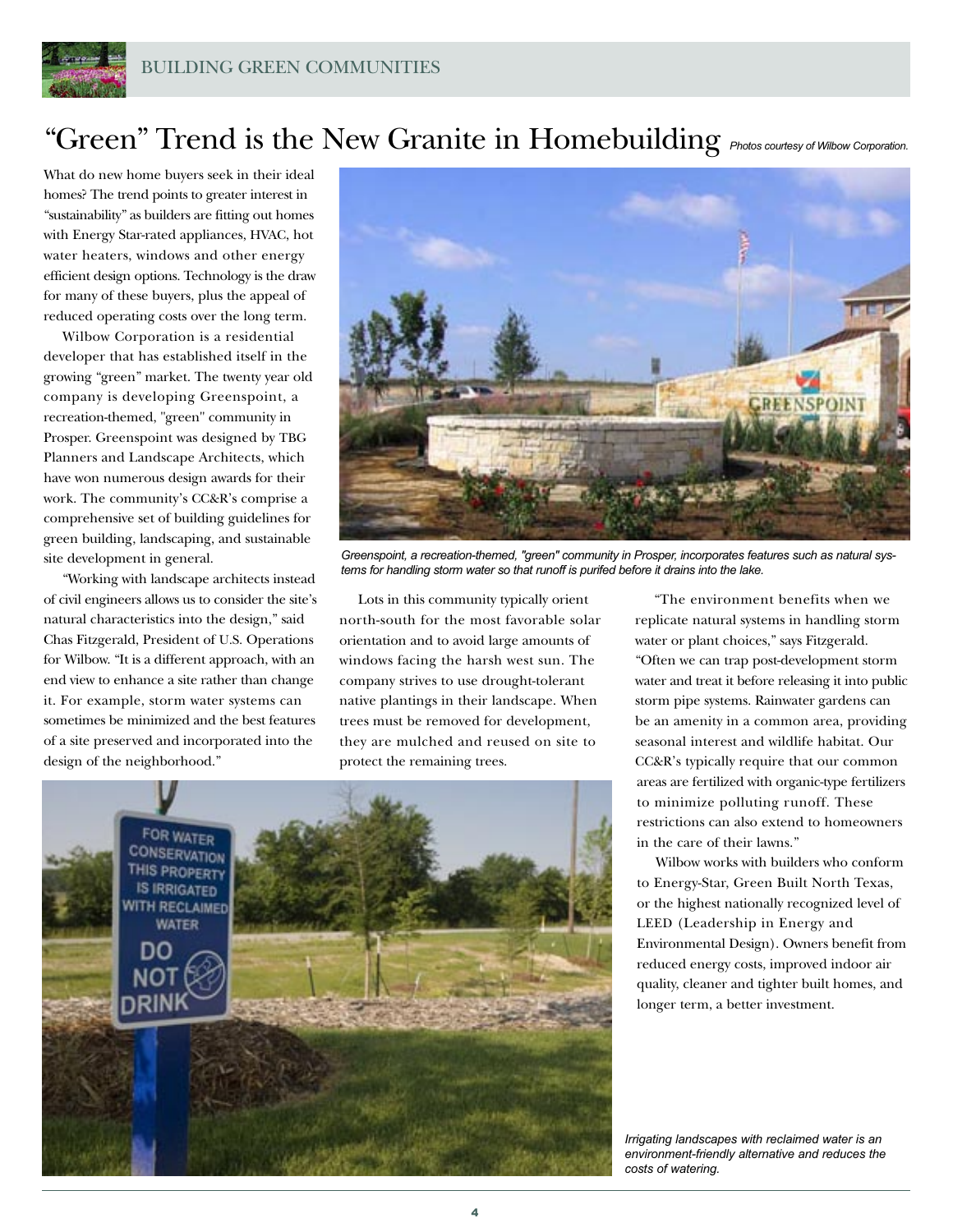

## "Green" Trend is the New Granite in Homebuilding *Photos courtesy of Wilbow Corporation*.

What do new home buyers seek in their ideal homes? The trend points to greater interest in "sustainability" as builders are fitting out homes with Energy Star-rated appliances, HVAC, hot water heaters, windows and other energy efficient design options. Technology is the draw for many of these buyers, plus the appeal of reduced operating costs over the long term.

Wilbow Corporation is a residential developer that has established itself in the growing "green" market. The twenty year old company is developing Greenspoint, a recreation-themed, "green" community in Prosper. Greenspoint was designed by TBG Planners and Landscape Architects, which have won numerous design awards for their work. The community's CC&R's comprise a comprehensive set of building guidelines for green building, landscaping, and sustainable site development in general.

"Working with landscape architects instead of civil engineers allows us to consider the site's natural characteristics into the design," said Chas Fitzgerald, President of U.S. Operations for Wilbow. "It is a different approach, with an end view to enhance a site rather than change it. For example, storm water systems can sometimes be minimized and the best features of a site preserved and incorporated into the design of the neighborhood."



Greenspoint, a recreation-themed, "green" community in Prosper, incorporates features such as natural systems for handling storm water so that runoff is purifed before it drains into the lake.

Lots in this community typically orient north-south for the most favorable solar orientation and to avoid large amounts of windows facing the harsh west sun. The company strives to use drought-tolerant native plantings in their landscape. When trees must be removed for development, they are mulched and reused on site to protect the remaining trees.



"The environment benefits when we replicate natural systems in handling storm water or plant choices," says Fitzgerald. "Often we can trap post-development storm water and treat it before releasing it into public storm pipe systems. Rainwater gardens can be an amenity in a common area, providing seasonal interest and wildlife habitat. Our CC&R's typically require that our common areas are fertilized with organic-type fertilizers to minimize polluting runoff. These restrictions can also extend to homeowners in the care of their lawns."

Wilbow works with builders who conform to Energy-Star, Green Built North Texas, or the highest nationally recognized level of LEED (Leadership in Energy and Environmental Design). Owners benefit from reduced energy costs, improved indoor air quality, cleaner and tighter built homes, and longer term, a better investment.

Irrigating landscapes with reclaimed water is an environment-friendly alternative and reduces the costs of watering.